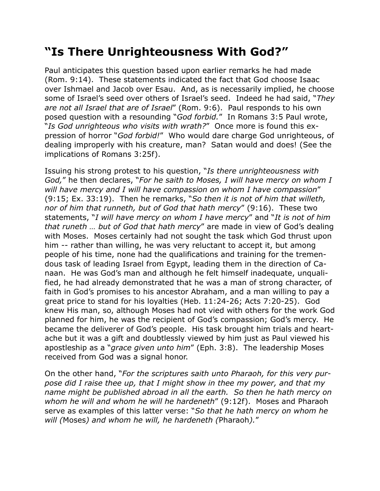## **"Is There Unrighteousness With God?"**

Paul anticipates this question based upon earlier remarks he had made (Rom. 9:14). These statements indicated the fact that God choose Isaac over Ishmael and Jacob over Esau. And, as is necessarily implied, he choose some of Israel's seed over others of Israel's seed. Indeed he had said, "*They are not all Israel that are of Israel*" (Rom. 9:6). Paul responds to his own posed question with a resounding "*God forbid.*" In Romans 3:5 Paul wrote, "*Is God unrighteous who visits with wrath?*" Once more is found this expression of horror "*God forbid!*" Who would dare charge God unrighteous, of dealing improperly with his creature, man? Satan would and does! (See the implications of Romans 3:25f).

Issuing his strong protest to his question, "*Is there unrighteousness with God,*" he then declares, "*For he saith to Moses, I will have mercy on whom I will have mercy and I will have compassion on whom I have compassion*" (9:15; Ex. 33:19). Then he remarks, "*So then it is not of him that willeth, nor of him that runneth, but of God that hath mercy*" (9:16). These two statements, "*I will have mercy on whom I have mercy*" and "*It is not of him that runeth … but of God that hath mercy*" are made in view of God's dealing with Moses. Moses certainly had not sought the task which God thrust upon him -- rather than willing, he was very reluctant to accept it, but among people of his time, none had the qualifications and training for the tremendous task of leading Israel from Egypt, leading them in the direction of Canaan. He was God's man and although he felt himself inadequate, unqualified, he had already demonstrated that he was a man of strong character, of faith in God's promises to his ancestor Abraham, and a man willing to pay a great price to stand for his loyalties (Heb. 11:24-26; Acts 7:20-25). God knew His man, so, although Moses had not vied with others for the work God planned for him, he was the recipient of God's compassion; God's mercy. He became the deliverer of God's people. His task brought him trials and heartache but it was a gift and doubtlessly viewed by him just as Paul viewed his apostleship as a "*grace given unto him*" (Eph. 3:8). The leadership Moses received from God was a signal honor.

On the other hand, "*For the scriptures saith unto Pharaoh, for this very purpose did I raise thee up, that I might show in thee my power, and that my name might be published abroad in all the earth. So then he hath mercy on whom he will and whom he will he hardeneth*" (9:12f). Moses and Pharaoh serve as examples of this latter verse: "*So that he hath mercy on whom he will (*Moses*) and whom he will, he hardeneth (*Pharaoh*).*"